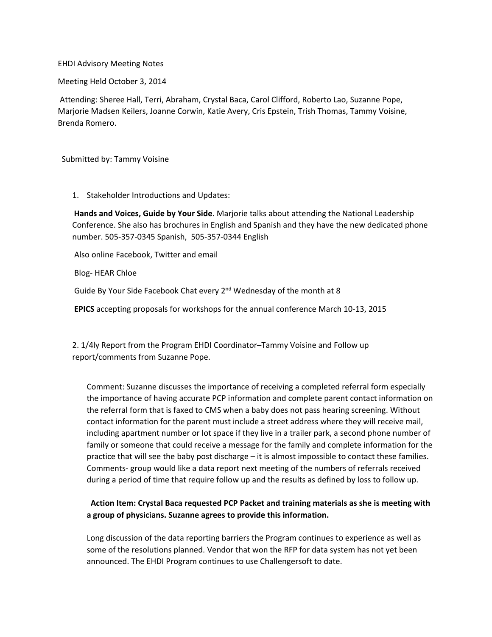## EHDI Advisory Meeting Notes

Meeting Held October 3, 2014

Attending: Sheree Hall, Terri, Abraham, Crystal Baca, Carol Clifford, Roberto Lao, Suzanne Pope, Marjorie Madsen Keilers, Joanne Corwin, Katie Avery, Cris Epstein, Trish Thomas, Tammy Voisine, Brenda Romero.

Submitted by: Tammy Voisine

1. Stakeholder Introductions and Updates:

**Hands and Voices, Guide by Your Side**. Marjorie talks about attending the National Leadership Conference. She also has brochures in English and Spanish and they have the new dedicated phone number. 505‐357‐0345 Spanish, 505‐357‐0344 English

Also online Facebook, Twitter and email

Blog‐ HEAR Chloe

Guide By Your Side Facebook Chat every 2<sup>nd</sup> Wednesday of the month at 8

**EPICS** accepting proposals for workshops for the annual conference March 10‐13, 2015

2. 1/4ly Report from the Program EHDI Coordinator–Tammy Voisine and Follow up report/comments from Suzanne Pope.

Comment: Suzanne discusses the importance of receiving a completed referral form especially the importance of having accurate PCP information and complete parent contact information on the referral form that is faxed to CMS when a baby does not pass hearing screening. Without contact information for the parent must include a street address where they will receive mail, including apartment number or lot space if they live in a trailer park, a second phone number of family or someone that could receive a message for the family and complete information for the practice that will see the baby post discharge – it is almost impossible to contact these families. Comments‐ group would like a data report next meeting of the numbers of referrals received during a period of time that require follow up and the results as defined by loss to follow up.

## **Action Item: Crystal Baca requested PCP Packet and training materials as she is meeting with a group of physicians. Suzanne agrees to provide this information.**

Long discussion of the data reporting barriers the Program continues to experience as well as some of the resolutions planned. Vendor that won the RFP for data system has not yet been announced. The EHDI Program continues to use Challengersoft to date.